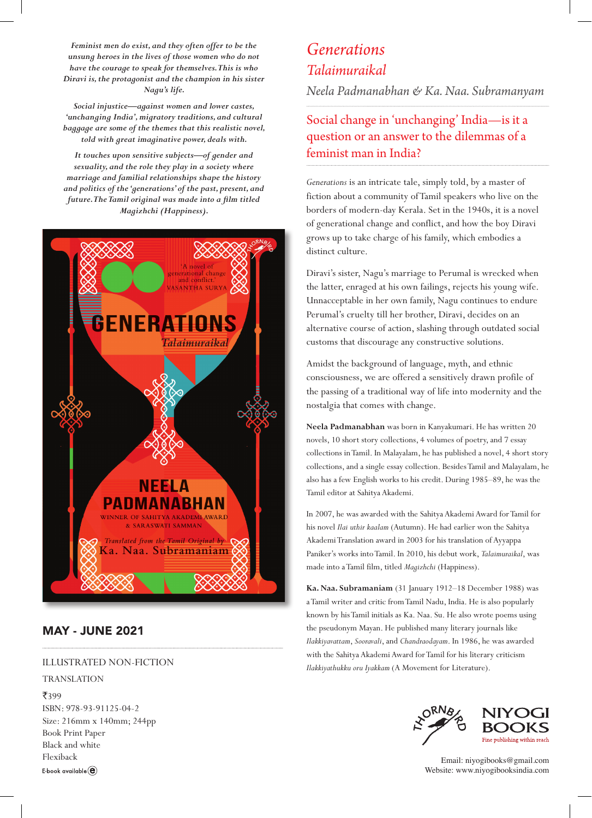*Feminist men do exist, and they often offer to be the unsung heroes in the lives of those women who do not have the courage to speak for themselves. This is who Diravi is, the protagonist and the champion in his sister Nagu's life.*

*Social injustice—against women and lower castes, 'unchanging India', migratory traditions, and cultural baggage are some of the themes that this realistic novel, told with great imaginative power, deals with.*

*It touches upon sensitive subjects—of gender and sexuality, and the role they play in a society where marriage and familial relationships shape the history and politics of the 'generations' of the past, present, and future. The Tamil original was made into a film titled Magizhchi (Happiness).* 



### MAY - JUNE 2021

### ILLUSTRATED NON-FICTION

#### TRANSLATION

₹399 ISBN: 978-93-91125-04-2 Size: 216mm x 140mm; 244pp Book Print Paper Black and white Flexiback E-book available $\left(\widehat{\mathbf{e}}\right)$ 

# *Generations Talaimuraikal*

*Neela Padmanabhan & Ka. Naa. Subramanyam*

## Social change in 'unchanging' India—is it a question or an answer to the dilemmas of a feminist man in India?

*Generations* is an intricate tale, simply told, by a master of fiction about a community of Tamil speakers who live on the borders of modern-day Kerala. Set in the 1940s, it is a novel of generational change and conflict, and how the boy Diravi grows up to take charge of his family, which embodies a distinct culture.

Diravi's sister, Nagu's marriage to Perumal is wrecked when the latter, enraged at his own failings, rejects his young wife. Unnacceptable in her own family, Nagu continues to endure Perumal's cruelty till her brother, Diravi, decides on an alternative course of action, slashing through outdated social customs that discourage any constructive solutions.

Amidst the background of language, myth, and ethnic consciousness, we are offered a sensitively drawn profile of the passing of a traditional way of life into modernity and the nostalgia that comes with change.

**Neela Padmanabhan** was born in Kanyakumari. He has written 20 novels, 10 short story collections, 4 volumes of poetry, and 7 essay collections in Tamil. In Malayalam, he has published a novel, 4 short story collections, and a single essay collection. Besides Tamil and Malayalam, he also has a few English works to his credit. During 1985–89, he was the Tamil editor at Sahitya Akademi.

In 2007, he was awarded with the Sahitya Akademi Award for Tamil for his novel *Ilai uthir kaalam* (Autumn). He had earlier won the Sahitya Akademi Translation award in 2003 for his translation of Ayyappa Paniker's works into Tamil. In 2010, his debut work, *Talaimuraikal*, was made into a Tamil film, titled *Magizhchi* (Happiness).

**Ka. Naa. Subramaniam** (31 January 1912–18 December 1988) was a Tamil writer and critic from Tamil Nadu, India. He is also popularly known by his Tamil initials as Ka. Naa. Su. He also wrote poems using the pseudonym Mayan. He published many literary journals like *Ilakkiyavattam*, *Sooravali*, and *Chandraodayam*. In 1986, he was awarded with the Sahitya Akademi Award for Tamil for his literary criticism *Ilakkiyathukku oru Iyakkam* (A Movement for Literature).



Email: niyogibooks@gmail.com Website: www.niyogibooksindia.com